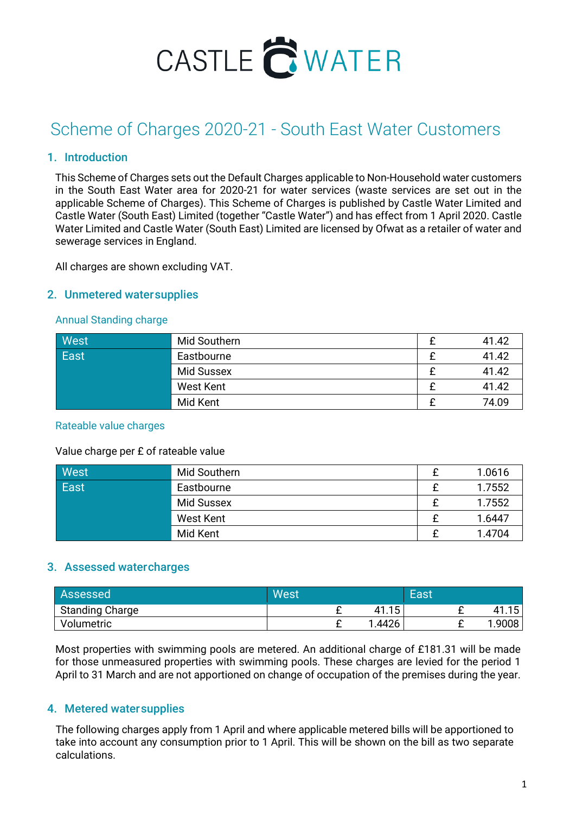

# Scheme of Charges 2020-21 - South East Water Customers

## 1. Introduction

This Scheme of Charges sets out the Default Charges applicable to Non-Household water customers in the South East Water area for 2020-21 for water services (waste services are set out in the applicable Scheme of Charges). This Scheme of Charges is published by Castle Water Limited and Castle Water (South East) Limited (together "Castle Water") and has effect from 1 April 2020. Castle Water Limited and Castle Water (South East) Limited are licensed by Ofwat as a retailer of water and sewerage services in England.

All charges are shown excluding VAT.

### 2. Unmetered watersupplies

#### Annual Standing charge

| West        | Mid Southern      | 41.42 |
|-------------|-------------------|-------|
| <b>East</b> | Eastbourne        | 41.42 |
|             | <b>Mid Sussex</b> | 41.42 |
|             | West Kent         | 41.42 |
|             | Mid Kent          | 74.09 |

#### Rateable value charges

#### Value charge per £ of rateable value

| West | Mid Southern | 1.0616 |
|------|--------------|--------|
| East | Eastbourne   | 1.7552 |
|      | Mid Sussex   | 1.7552 |
|      | West Kent    | 1.6447 |
|      | Mid Kent     | 1.4704 |

#### 3. Assessed watercharges

| Assessed               | West |                    | East |              |
|------------------------|------|--------------------|------|--------------|
| <b>Standing Charge</b> |      | 15<br>4<br>T I . I |      | 1 F<br>41.1ະ |
| Volumetric             |      | 4426<br>и.         |      | .9008        |

Most properties with swimming pools are metered. An additional charge of £181.31 will be made for those unmeasured properties with swimming pools. These charges are levied for the period 1 April to 31 March and are not apportioned on change of occupation of the premises during the year.

#### 4. Metered watersupplies

The following charges apply from 1 April and where applicable metered bills will be apportioned to take into account any consumption prior to 1 April. This will be shown on the bill as two separate calculations.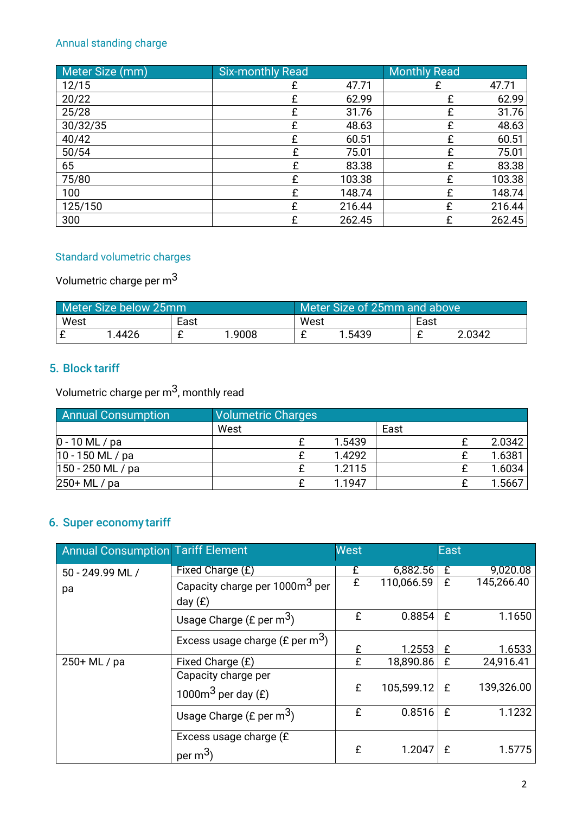# Annual standing charge

| Meter Size (mm) | <b>Six-monthly Read</b> |        | <b>Monthly Read</b> |        |
|-----------------|-------------------------|--------|---------------------|--------|
| 12/15           |                         | 47.71  |                     | 47.71  |
| 20/22           | £                       | 62.99  | £                   | 62.99  |
| 25/28           |                         | 31.76  | £                   | 31.76  |
| 30/32/35        | f                       | 48.63  | £                   | 48.63  |
| 40/42           | £                       | 60.51  | £                   | 60.51  |
| 50/54           | £                       | 75.01  | £                   | 75.01  |
| 65              | £                       | 83.38  | £                   | 83.38  |
| 75/80           | f                       | 103.38 | £                   | 103.38 |
| 100             | £                       | 148.74 | £                   | 148.74 |
| 125/150         | £                       | 216.44 | £                   | 216.44 |
| 300             | £                       | 262.45 | £                   | 262.45 |

# Standard volumetric charges

# Volumetric charge per m3

|      | Meter Size below 25mm |      |       | Meter Size of 25mm and above ' |        |      |        |
|------|-----------------------|------|-------|--------------------------------|--------|------|--------|
| West |                       | East |       | West                           |        | East |        |
|      | 4426                  |      | .9008 |                                | 1.5439 |      | 2.0342 |

## 5. Block tariff

Volumetric charge per  $m^3$ , monthly read

| <b>Annual Consumption</b> | <b>Volumetric Charges</b> |        |      |        |
|---------------------------|---------------------------|--------|------|--------|
|                           | West                      |        | East |        |
| $0 - 10$ ML / pa          |                           | 1.5439 |      | 2.0342 |
| $10 - 150$ ML / pa        |                           | 1.4292 |      | 1.6381 |
| $150 - 250$ ML / pa       |                           | 1.2115 |      | 1.6034 |
| 250+ ML / pa              |                           | 1.1947 |      | 1.5667 |

# 6. Super economy tariff

| <b>Annual Consumption Tariff Element</b> |                                                         | <b>West</b> |                | <b>East</b> |            |
|------------------------------------------|---------------------------------------------------------|-------------|----------------|-------------|------------|
| 50 - 249.99 ML /                         | Fixed Charge (£)                                        | £           | 6,882.56       | £           | 9,020.08   |
| рa                                       | Capacity charge per 1000m <sup>3</sup> per<br>day $(E)$ | £           | 110,066.59     | £           | 145,266.40 |
|                                          | Usage Charge (£ per $m^3$ )                             | £           | 0.8854         | £           | 1.1650     |
|                                          | Excess usage charge (£ per $m^3$ )                      | £           | 1.2553         | £           | 1.6533     |
| 250+ ML / pa                             | Fixed Charge (£)                                        | £           | 18,890.86      | £           | 24,916.41  |
|                                          | Capacity charge per<br>1000 $m3$ per day (£)            | £           | 105,599.12   £ |             | 139,326.00 |
|                                          | Usage Charge (£ per $m^3$ )                             | £           | 0.8516         | £           | 1.1232     |
|                                          | Excess usage charge (£<br>per $m^3$ .                   | £           | 1.2047         |             | 1.5775     |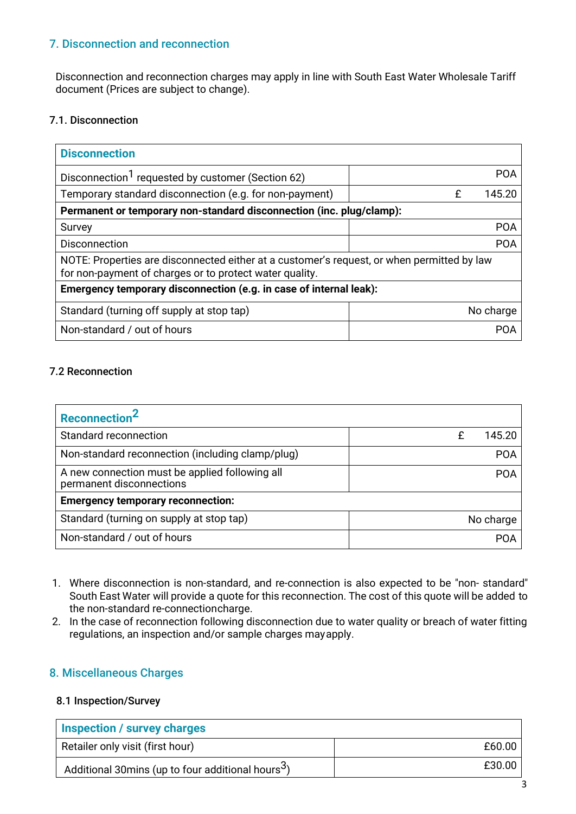## 7. Disconnection and reconnection

Disconnection and reconnection charges may apply in line with South East Water Wholesale Tariff document (Prices are subject to change).

## 7.1. Disconnection

| <b>Disconnection</b>                                                                                                                                  |             |  |  |  |
|-------------------------------------------------------------------------------------------------------------------------------------------------------|-------------|--|--|--|
| Disconnection <sup>1</sup> requested by customer (Section 62)                                                                                         | <b>POA</b>  |  |  |  |
| Temporary standard disconnection (e.g. for non-payment)                                                                                               | 145.20<br>£ |  |  |  |
| Permanent or temporary non-standard disconnection (inc. plug/clamp):                                                                                  |             |  |  |  |
| Survey                                                                                                                                                | <b>POA</b>  |  |  |  |
| <b>Disconnection</b>                                                                                                                                  | <b>POA</b>  |  |  |  |
| NOTE: Properties are disconnected either at a customer's request, or when permitted by law<br>for non-payment of charges or to protect water quality. |             |  |  |  |
| Emergency temporary disconnection (e.g. in case of internal leak):                                                                                    |             |  |  |  |
| Standard (turning off supply at stop tap)                                                                                                             | No charge   |  |  |  |
| Non-standard / out of hours                                                                                                                           | <b>POA</b>  |  |  |  |

## 7.2 Reconnection

| Reconnection <sup>2</sup>                                                  |            |
|----------------------------------------------------------------------------|------------|
| Standard reconnection                                                      | 145.20     |
| Non-standard reconnection (including clamp/plug)                           | <b>POA</b> |
| A new connection must be applied following all<br>permanent disconnections | <b>POA</b> |
| <b>Emergency temporary reconnection:</b>                                   |            |
| Standard (turning on supply at stop tap)                                   | No charge  |
| Non-standard / out of hours                                                | <b>POA</b> |

- 1. Where disconnection is non-standard, and re-connection is also expected to be "non- standard" South East Water will provide a quote for this reconnection. The cost of this quote will be added to the non-standard re-connectioncharge.
- 2. In the case of reconnection following disconnection due to water quality or breach of water fitting regulations, an inspection and/or sample charges mayapply.

## 8. Miscellaneous Charges

#### 8.1 Inspection/Survey

| Inspection / survey charges                                    |        |
|----------------------------------------------------------------|--------|
| Retailer only visit (first hour)                               | £60.00 |
| Additional 30 mins (up to four additional hours <sup>3</sup> ) | £30.00 |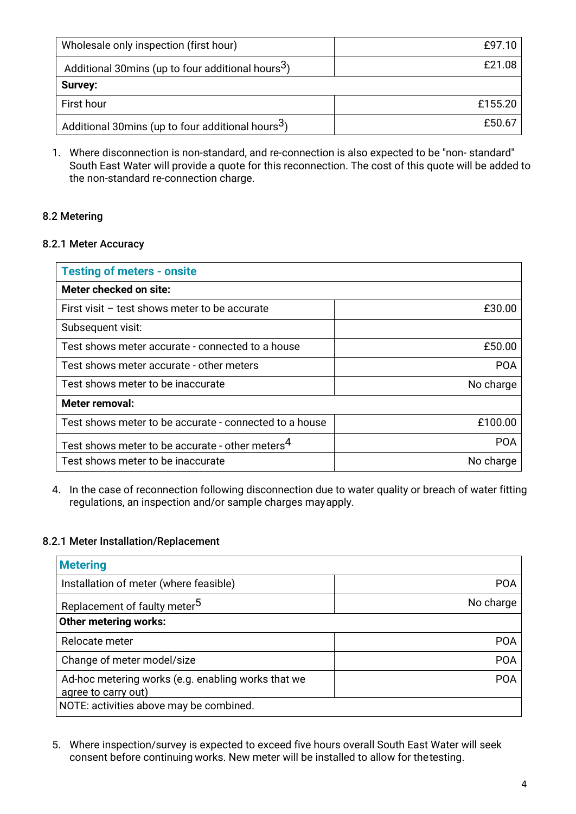| Wholesale only inspection (first hour)                         | E97.10  |
|----------------------------------------------------------------|---------|
| Additional 30 mins (up to four additional hours <sup>3</sup> ) | £21.08  |
| Survey:                                                        |         |
| First hour                                                     | £155.20 |
| Additional 30mins (up to four additional hours <sup>3</sup> )  | £50.67  |

1. Where disconnection is non-standard, and re-connection is also expected to be "non- standard" South East Water will provide a quote for this reconnection. The cost of this quote will be added to the non-standard re-connection charge.

## 8.2 Metering

#### 8.2.1 Meter Accuracy

| <b>Testing of meters - onsite</b>                           |            |  |  |  |
|-------------------------------------------------------------|------------|--|--|--|
| Meter checked on site:                                      |            |  |  |  |
| First visit - test shows meter to be accurate               | £30.00     |  |  |  |
| Subsequent visit:                                           |            |  |  |  |
| Test shows meter accurate - connected to a house            | £50.00     |  |  |  |
| Test shows meter accurate - other meters                    | <b>POA</b> |  |  |  |
| Test shows meter to be inaccurate                           | No charge  |  |  |  |
| Meter removal:                                              |            |  |  |  |
| Test shows meter to be accurate - connected to a house      | £100.00    |  |  |  |
| Test shows meter to be accurate - other meters <sup>4</sup> | <b>POA</b> |  |  |  |
| Test shows meter to be inaccurate                           | No charge  |  |  |  |

4. In the case of reconnection following disconnection due to water quality or breach of water fitting regulations, an inspection and/or sample charges mayapply.

#### 8.2.1 Meter Installation/Replacement

| <b>Metering</b>                                                           |            |  |  |  |
|---------------------------------------------------------------------------|------------|--|--|--|
| Installation of meter (where feasible)                                    | <b>POA</b> |  |  |  |
| Replacement of faulty meter <sup>5</sup>                                  | No charge  |  |  |  |
| <b>Other metering works:</b>                                              |            |  |  |  |
| Relocate meter                                                            | <b>POA</b> |  |  |  |
| Change of meter model/size                                                | <b>POA</b> |  |  |  |
| Ad-hoc metering works (e.g. enabling works that we<br>agree to carry out) | <b>POA</b> |  |  |  |
| NOTE: activities above may be combined.                                   |            |  |  |  |

5. Where inspection/survey is expected to exceed five hours overall South East Water will seek consent before continuing works. New meter will be installed to allow for thetesting.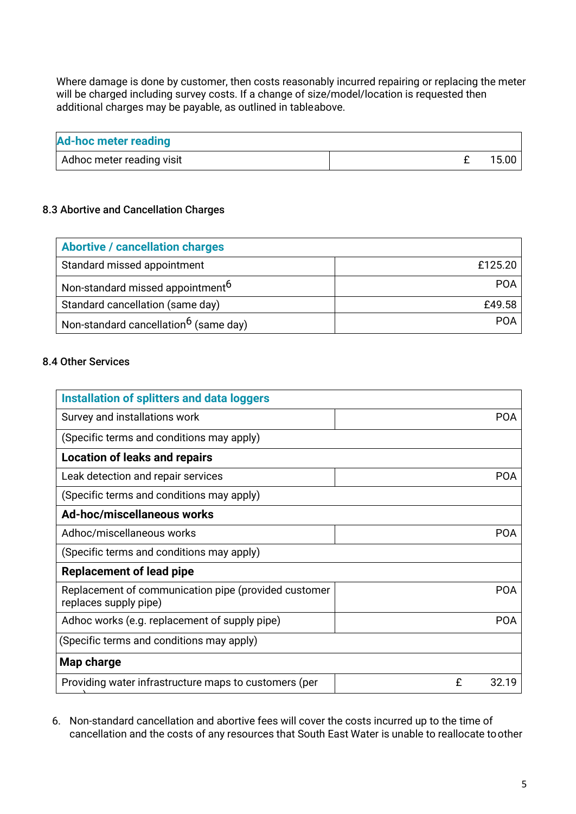Where damage is done by customer, then costs reasonably incurred repairing or replacing the meter will be charged including survey costs. If a change of size/model/location is requested then additional charges may be payable, as outlined in tableabove.

| <b>Ad-hoc meter reading</b> |  |         |
|-----------------------------|--|---------|
| Adhoc meter reading visit   |  | 15.00 l |

## 8.3 Abortive and Cancellation Charges

| <b>Abortive / cancellation charges</b>            |            |
|---------------------------------------------------|------------|
| Standard missed appointment                       | £125.20    |
| Non-standard missed appointment <sup>6</sup>      | <b>POA</b> |
| Standard cancellation (same day)                  | £49.58     |
| Non-standard cancellation <sup>6</sup> (same day) | <b>POA</b> |

### 8.4 Other Services

| <b>Installation of splitters and data loggers</b>                             |            |
|-------------------------------------------------------------------------------|------------|
| Survey and installations work                                                 | <b>POA</b> |
| (Specific terms and conditions may apply)                                     |            |
| <b>Location of leaks and repairs</b>                                          |            |
| Leak detection and repair services                                            | <b>POA</b> |
| (Specific terms and conditions may apply)                                     |            |
| Ad-hoc/miscellaneous works                                                    |            |
| Adhoc/miscellaneous works                                                     | <b>POA</b> |
| (Specific terms and conditions may apply)                                     |            |
| <b>Replacement of lead pipe</b>                                               |            |
| Replacement of communication pipe (provided customer<br>replaces supply pipe) | <b>POA</b> |
| Adhoc works (e.g. replacement of supply pipe)                                 | <b>POA</b> |
| (Specific terms and conditions may apply)                                     |            |
| Map charge                                                                    |            |
| Providing water infrastructure maps to customers (per                         | £<br>32.19 |

6. Non-standard cancellation and abortive fees will cover the costs incurred up to the time of cancellation and the costs of any resources that South East Water is unable to reallocate toother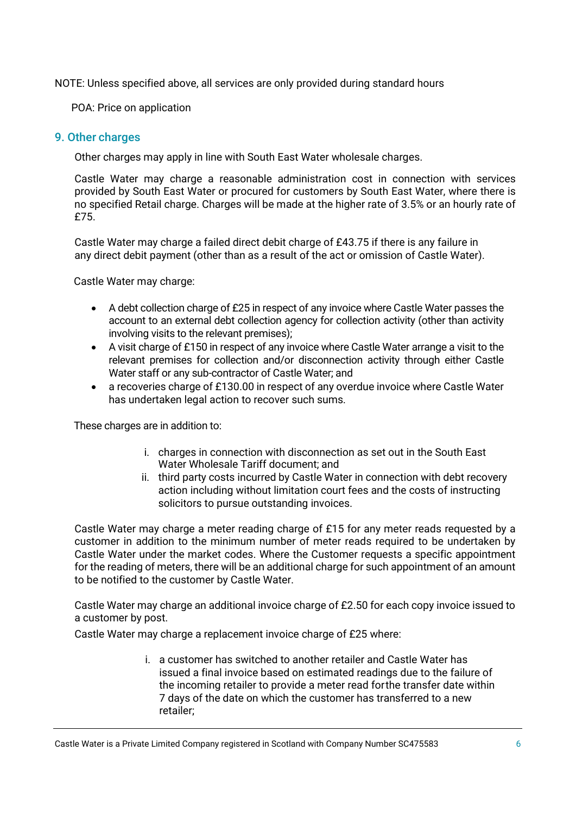NOTE: Unless specified above, all services are only provided during standard hours

POA: Price on application

### 9. Other charges

Other charges may apply in line with South East Water wholesale charges.

Castle Water may charge a reasonable administration cost in connection with services provided by South East Water or procured for customers by South East Water, where there is no specified Retail charge. Charges will be made at the higher rate of 3.5% or an hourly rate of £75.

Castle Water may charge a failed direct debit charge of £43.75 if there is any failure in any direct debit payment (other than as a result of the act or omission of Castle Water).

Castle Water may charge:

- A debt collection charge of £25 in respect of any invoice where Castle Water passes the account to an external debt collection agency for collection activity (other than activity involving visits to the relevant premises);
- A visit charge of £150 in respect of any invoice where Castle Water arrange a visit to the relevant premises for collection and/or disconnection activity through either Castle Water staff or any sub-contractor of Castle Water; and
- a recoveries charge of £130.00 in respect of any overdue invoice where Castle Water has undertaken legal action to recover such sums.

These charges are in addition to:

- i. charges in connection with disconnection as set out in the South East Water Wholesale Tariff document; and
- ii. third party costs incurred by Castle Water in connection with debt recovery action including without limitation court fees and the costs of instructing solicitors to pursue outstanding invoices.

Castle Water may charge a meter reading charge of £15 for any meter reads requested by a customer in addition to the minimum number of meter reads required to be undertaken by Castle Water under the market codes. Where the Customer requests a specific appointment for the reading of meters, there will be an additional charge for such appointment of an amount to be notified to the customer by Castle Water.

Castle Water may charge an additional invoice charge of £2.50 for each copy invoice issued to a customer by post.

Castle Water may charge a replacement invoice charge of £25 where:

i. a customer has switched to another retailer and Castle Water has issued a final invoice based on estimated readings due to the failure of the incoming retailer to provide a meter read forthe transfer date within 7 days of the date on which the customer has transferred to a new retailer;